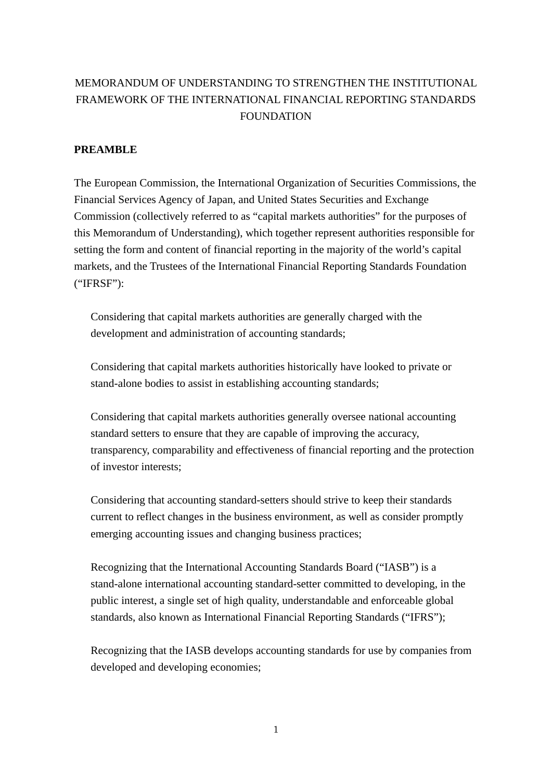# MEMORANDUM OF UNDERSTANDING TO STRENGTHEN THE INSTITUTIONAL FRAMEWORK OF THE INTERNATIONAL FINANCIAL REPORTING STANDARDS **FOUNDATION**

### **PREAMBLE**

The European Commission, the International Organization of Securities Commissions, the Financial Services Agency of Japan, and United States Securities and Exchange Commission (collectively referred to as "capital markets authorities" for the purposes of this Memorandum of Understanding), which together represent authorities responsible for setting the form and content of financial reporting in the majority of the world's capital markets, and the Trustees of the International Financial Reporting Standards Foundation ("IFRSF"):

Considering that capital markets authorities are generally charged with the development and administration of accounting standards;

Considering that capital markets authorities historically have looked to private or stand-alone bodies to assist in establishing accounting standards;

Considering that capital markets authorities generally oversee national accounting standard setters to ensure that they are capable of improving the accuracy, transparency, comparability and effectiveness of financial reporting and the protection of investor interests;

Considering that accounting standard-setters should strive to keep their standards current to reflect changes in the business environment, as well as consider promptly emerging accounting issues and changing business practices;

Recognizing that the International Accounting Standards Board ("IASB") is a stand-alone international accounting standard-setter committed to developing, in the public interest, a single set of high quality, understandable and enforceable global standards, also known as International Financial Reporting Standards ("IFRS");

Recognizing that the IASB develops accounting standards for use by companies from developed and developing economies;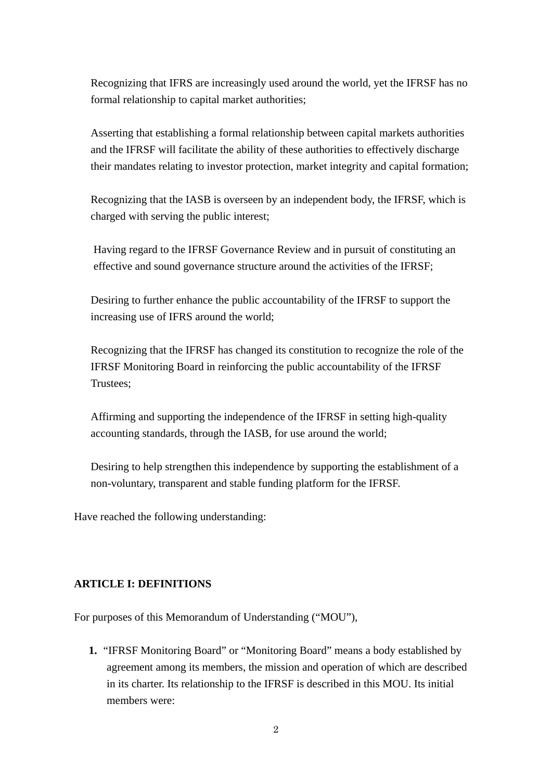Recognizing that IFRS are increasingly used around the world, yet the IFRSF has no formal relationship to capital market authorities;

Asserting that establishing a formal relationship between capital markets authorities and the IFRSF will facilitate the ability of these authorities to effectively discharge their mandates relating to investor protection, market integrity and capital formation;

Recognizing that the IASB is overseen by an independent body, the IFRSF, which is charged with serving the public interest;

Having regard to the IFRSF Governance Review and in pursuit of constituting an effective and sound governance structure around the activities of the IFRSF;

Desiring to further enhance the public accountability of the IFRSF to support the increasing use of IFRS around the world;

Recognizing that the IFRSF has changed its constitution to recognize the role of the IFRSF Monitoring Board in reinforcing the public accountability of the IFRSF Trustees;

Affirming and supporting the independence of the IFRSF in setting high-quality accounting standards, through the IASB, for use around the world;

Desiring to help strengthen this independence by supporting the establishment of a non-voluntary, transparent and stable funding platform for the IFRSF.

Have reached the following understanding:

### **ARTICLE I: DEFINITIONS**

For purposes of this Memorandum of Understanding ("MOU"),

**1.** "IFRSF Monitoring Board" or "Monitoring Board" means a body established by agreement among its members, the mission and operation of which are described in its charter. Its relationship to the IFRSF is described in this MOU. Its initial members were: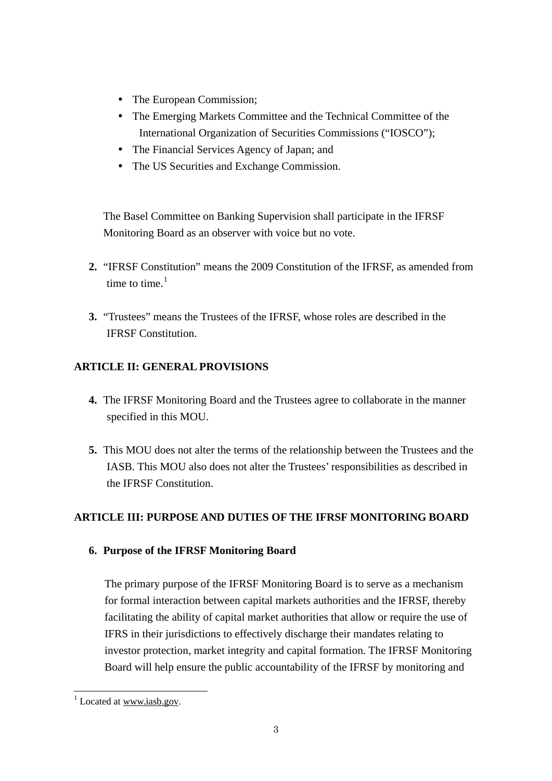- The European Commission:
- The Emerging Markets Committee and the Technical Committee of the International Organization of Securities Commissions ("IOSCO");
- The Financial Services Agency of Japan; and
- The US Securities and Exchange Commission.

The Basel Committee on Banking Supervision shall participate in the IFRSF Monitoring Board as an observer with voice but no vote.

- **2.** "IFRSF Constitution" means the 2009 Constitution of the IFRSF, as amended from time to time. $<sup>1</sup>$  $<sup>1</sup>$  $<sup>1</sup>$ </sup>
- **3.** "Trustees" means the Trustees of the IFRSF, whose roles are described in the IFRSF Constitution.

### **ARTICLE II: GENERAL PROVISIONS**

- **4.** The IFRSF Monitoring Board and the Trustees agree to collaborate in the manner specified in this MOU.
- **5.** This MOU does not alter the terms of the relationship between the Trustees and the IASB. This MOU also does not alter the Trustees' responsibilities as described in the IFRSF Constitution.

### **ARTICLE III: PURPOSE AND DUTIES OF THE IFRSF MONITORING BOARD**

### **6. Purpose of the IFRSF Monitoring Board**

The primary purpose of the IFRSF Monitoring Board is to serve as a mechanism for formal interaction between capital markets authorities and the IFRSF, thereby facilitating the ability of capital market authorities that allow or require the use of IFRS in their jurisdictions to effectively discharge their mandates relating to investor protection, market integrity and capital formation. The IFRSF Monitoring Board will help ensure the public accountability of the IFRSF by monitoring and

<span id="page-2-0"></span> $1$  Located at www.iasb.gov.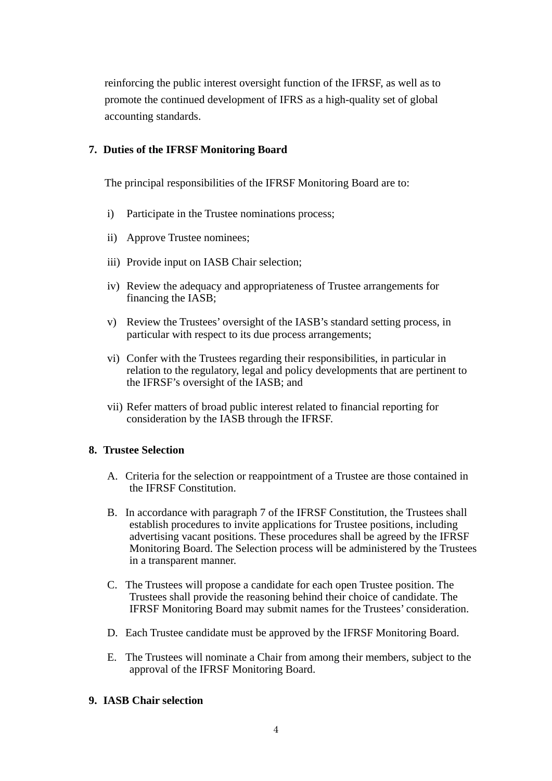reinforcing the public interest oversight function of the IFRSF, as well as to promote the continued development of IFRS as a high-quality set of global accounting standards.

#### **7. Duties of the IFRSF Monitoring Board**

The principal responsibilities of the IFRSF Monitoring Board are to:

- i) Participate in the Trustee nominations process;
- ii) Approve Trustee nominees;
- iii) Provide input on IASB Chair selection;
- iv) Review the adequacy and appropriateness of Trustee arrangements for financing the IASB;
- v) Review the Trustees' oversight of the IASB's standard setting process, in particular with respect to its due process arrangements;
- vi) Confer with the Trustees regarding their responsibilities, in particular in relation to the regulatory, legal and policy developments that are pertinent to the IFRSF's oversight of the IASB; and
- vii) Refer matters of broad public interest related to financial reporting for consideration by the IASB through the IFRSF.

### **8. Trustee Selection**

- A. Criteria for the selection or reappointment of a Trustee are those contained in the IFRSF Constitution.
- B. In accordance with paragraph 7 of the IFRSF Constitution, the Trustees shall establish procedures to invite applications for Trustee positions, including advertising vacant positions. These procedures shall be agreed by the IFRSF Monitoring Board. The Selection process will be administered by the Trustees in a transparent manner.
- C. The Trustees will propose a candidate for each open Trustee position. The Trustees shall provide the reasoning behind their choice of candidate. The IFRSF Monitoring Board may submit names for the Trustees' consideration.
- D. Each Trustee candidate must be approved by the IFRSF Monitoring Board.
- E. The Trustees will nominate a Chair from among their members, subject to the approval of the IFRSF Monitoring Board.

#### **9. IASB Chair selection**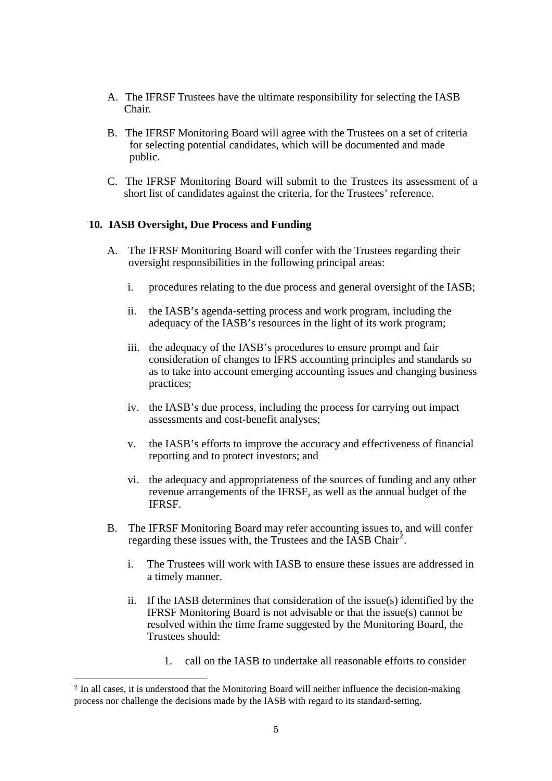- A. The IFRSF Trustees have the ultimate responsibility for selecting the IASB Chair.
- B. The IFRSF Monitoring Board will agree with the Trustees on a set of criteria for selecting potential candidates, which will be documented and made public.
- C. The IFRSF Monitoring Board will submit to the Trustees its assessment of a short list of candidates against the criteria, for the Trustees' reference.

#### **10. IASB Oversight, Due Process and Funding**

- A. The IFRSF Monitoring Board will confer with the Trustees regarding their oversight responsibilities in the following principal areas:
	- i. procedures relating to the due process and general oversight of the IASB;
	- ii. the IASB's agenda-setting process and work program, including the adequacy of the IASB's resources in the light of its work program;
	- iii. the adequacy of the IASB's procedures to ensure prompt and fair consideration of changes to IFRS accounting principles and standards so as to take into account emerging accounting issues and changing business practices;
	- iv. the IASB's due process, including the process for carrying out impact assessments and cost-benefit analyses;
	- v. the IASB's efforts to improve the accuracy and effectiveness of financial reporting and to protect investors; and
	- vi. the adequacy and appropriateness of the sources of funding and any other revenue arrangements of the IFRSF, as well as the annual budget of the IFRSF.
- B. The IFRSF Monitoring Board may refer accounting issues to, and will confer regarding these issues with, the Trustees and the IASB Chair<sup>[2](#page-4-0)</sup>.
	- i. The Trustees will work with IASB to ensure these issues are addressed in a timely manner.
	- ii. If the IASB determines that consideration of the issue(s) identified by the IFRSF Monitoring Board is not advisable or that the issue(s) cannot be resolved within the time frame suggested by the Monitoring Board, the Trustees should:
		- 1. call on the IASB to undertake all reasonable efforts to consider

 $\overline{a}$ 

<span id="page-4-0"></span><sup>2</sup> In all cases, it is understood that the Monitoring Board will neither influence the decision-making process nor challenge the decisions made by the IASB with regard to its standard-setting.